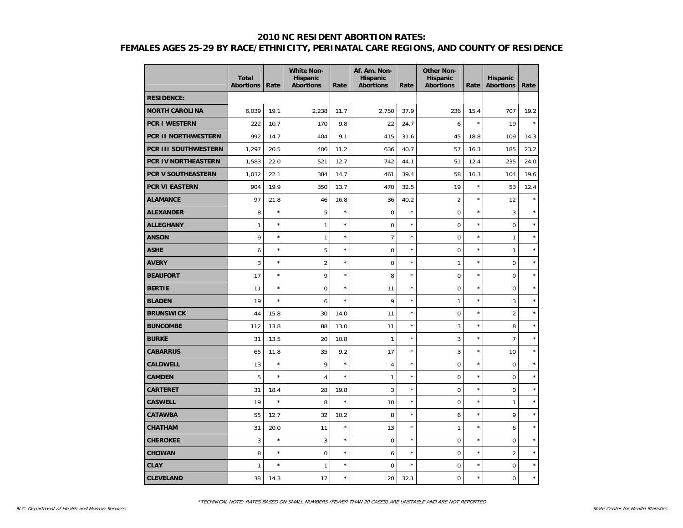# **2010 NC RESIDENT ABORTION RATES:**

# **FEMALES AGES 25-29 BY RACE/ETHNICITY, PERINATAL CARE REGIONS, AND COUNTY OF RESIDENCE**

|                             | <b>Total</b><br><b>Abortions</b> | Rate    | <b>White Non-</b><br><b>Hispanic</b><br><b>Abortions</b> | Rate    | Af. Am. Non-<br><b>Hispanic</b><br><b>Abortions</b> | Rate    | <b>Other Non-</b><br>Hispanic<br><b>Abortions</b> | Rate    | <b>Hispanic</b><br><b>Abortions</b> | Rate    |
|-----------------------------|----------------------------------|---------|----------------------------------------------------------|---------|-----------------------------------------------------|---------|---------------------------------------------------|---------|-------------------------------------|---------|
| <b>RESIDENCE:</b>           |                                  |         |                                                          |         |                                                     |         |                                                   |         |                                     |         |
| <b>NORTH CAROLINA</b>       | 6,039                            | 19.1    | 2,238                                                    | 11.7    | 2,750                                               | 37.9    | 236                                               | 15.4    | 707                                 | 19.2    |
| <b>PCR I WESTERN</b>        | 222                              | 10.7    | 170                                                      | 9.8     | 22                                                  | 24.7    | 6                                                 | $\star$ | 19                                  | $\star$ |
| PCR II NORTHWESTERN         | 992                              | 14.7    | 404                                                      | 9.1     | 415                                                 | 31.6    | 45                                                | 18.8    | 109                                 | 14.3    |
| <b>PCR III SOUTHWESTERN</b> | 1,297                            | 20.5    | 406                                                      | 11.2    | 636                                                 | 40.7    | 57                                                | 16.3    | 185                                 | 23.2    |
| <b>PCR IV NORTHEASTERN</b>  | 1,583                            | 22.0    | 521                                                      | 12.7    | 742                                                 | 44.1    | 51                                                | 12.4    | 235                                 | 24.0    |
| <b>PCR V SOUTHEASTERN</b>   | 1,032                            | 22.1    | 384                                                      | 14.7    | 461                                                 | 39.4    | 58                                                | 16.3    | 104                                 | 19.6    |
| <b>PCR VI EASTERN</b>       | 904                              | 19.9    | 350                                                      | 13.7    | 470                                                 | 32.5    | 19                                                | $\star$ | 53                                  | 12.4    |
| <b>ALAMANCE</b>             | 97                               | 21.8    | 46                                                       | 16.8    | 36                                                  | 40.2    | $\overline{2}$                                    | $\star$ | 12                                  | $\star$ |
| <b>ALEXANDER</b>            | 8                                | $\star$ | 5                                                        | $\star$ | 0                                                   | $\star$ | 0                                                 | $\star$ | 3                                   | $\star$ |
| <b>ALLEGHANY</b>            | $\mathbf{1}$                     | $\star$ | $\mathbf{1}$                                             | $\star$ | 0                                                   | $\star$ | $\overline{0}$                                    | $\star$ | $\mathbf 0$                         | $\star$ |
| <b>ANSON</b>                | 9                                | $\star$ | $\mathbf{1}$                                             | $\star$ | $\overline{7}$                                      | $\star$ | $\overline{0}$                                    | $\star$ | $\mathbf{1}$                        | $\star$ |
| <b>ASHE</b>                 | 6                                | $\star$ | 5                                                        | $\star$ | $\mathbf 0$                                         | $\star$ | 0                                                 | $\star$ | $\mathbf{1}$                        | $\star$ |
| <b>AVERY</b>                | 3                                | $\star$ | $\overline{2}$                                           | $\star$ | $\mathbf 0$                                         | $\star$ | $\mathbf{1}$                                      | $\star$ | $\mathbf 0$                         | $\star$ |
| <b>BEAUFORT</b>             | 17                               | $\star$ | 9                                                        | $\star$ | 8                                                   | $\star$ | $\overline{0}$                                    | $\star$ | $\mathbf 0$                         | $\star$ |
| <b>BERTIE</b>               | 11                               | $\star$ | $\mathbf 0$                                              | $\star$ | 11                                                  | $\star$ | $\overline{0}$                                    | $\star$ | $\mathbf 0$                         | $\star$ |
| <b>BLADEN</b>               | 19                               | $\star$ | 6                                                        | ×       | 9                                                   | $\star$ | $\mathbf{1}$                                      | $\star$ | 3                                   | $\star$ |
| <b>BRUNSWICK</b>            | 44                               | 15.8    | 30                                                       | 14.0    | 11                                                  | $\star$ | $\mathbf 0$                                       | $\star$ | $\overline{2}$                      | $\star$ |
| <b>BUNCOMBE</b>             | 112                              | 13.8    | 88                                                       | 13.0    | 11                                                  | $\star$ | 3                                                 | $\star$ | 8                                   | $\star$ |
| <b>BURKE</b>                | 31                               | 13.5    | 20                                                       | 10.8    | $\mathbf{1}$                                        | $\star$ | 3                                                 | $\star$ | $\overline{7}$                      | $\star$ |
| <b>CABARRUS</b>             | 65                               | 11.8    | 35                                                       | 9.2     | 17                                                  | $\star$ | 3                                                 | $\star$ | 10                                  | $\star$ |
| <b>CALDWELL</b>             | 13                               | $\star$ | 9                                                        | $\star$ | 4                                                   | $\star$ | 0                                                 | $\star$ | $\mathbf 0$                         | $\star$ |
| <b>CAMDEN</b>               | 5                                | $\star$ | $\overline{4}$                                           | $\star$ | $\mathbf{1}$                                        | $\star$ | $\overline{0}$                                    | $\star$ | $\mathbf 0$                         | $\star$ |
| <b>CARTERET</b>             | 31                               | 18.4    | 28                                                       | 19.8    | 3                                                   | $\star$ | $\overline{0}$                                    | $\star$ | $\mathbf 0$                         | $\star$ |
| <b>CASWELL</b>              | 19                               | $\star$ | 8                                                        | $\star$ | 10                                                  | $\star$ | $\mathbf 0$                                       | $\star$ | $\mathbf{1}$                        | $\star$ |
| <b>CATAWBA</b>              | 55                               | 12.7    | 32                                                       | 10.2    | 8                                                   | $\star$ | 6                                                 | $\star$ | 9                                   | $\star$ |
| <b>CHATHAM</b>              | 31                               | 20.0    | 11                                                       | $\star$ | 13                                                  | $\star$ | $\mathbf{1}$                                      | $\star$ | 6                                   | $\star$ |
| <b>CHEROKEE</b>             | 3                                | $\star$ | 3                                                        | $\star$ | 0                                                   | $\star$ | $\mathbf 0$                                       | $\star$ | $\mathsf{O}\xspace$                 | $\star$ |
| <b>CHOWAN</b>               | 8                                | $\star$ | $\mathbf 0$                                              | $\star$ | 6                                                   | $\star$ | 0                                                 | $\star$ | $\overline{2}$                      | $\star$ |
| <b>CLAY</b>                 | 1                                | $\star$ | 1                                                        | $\star$ | 0                                                   | $\star$ | 0                                                 | $\star$ | $\mathbf 0$                         | $\star$ |
| <b>CLEVELAND</b>            | 38                               | 14.3    | 17                                                       | $\star$ | 20                                                  | 32.1    | $\mathbf 0$                                       | $\star$ | $\mathbf 0$                         | $\star$ |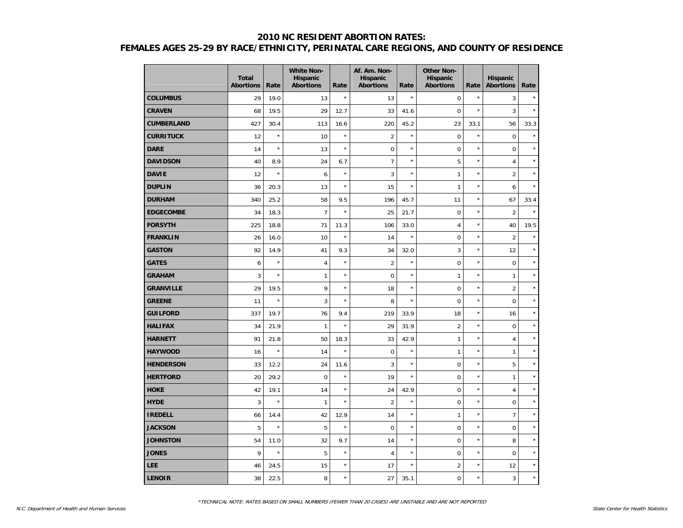## **2010 NC RESIDENT ABORTION RATES: FEMALES AGES 25-29 BY RACE/ETHNICITY, PERINATAL CARE REGIONS, AND COUNTY OF RESIDENCE**

|                   | <b>Total</b><br><b>Abortions</b> | Rate    | <b>White Non-</b><br><b>Hispanic</b><br><b>Abortions</b> | Rate       | Af. Am. Non-<br><b>Hispanic</b><br><b>Abortions</b> | Rate       | <b>Other Non-</b><br>Hispanic<br><b>Abortions</b> | Rate    | <b>Hispanic</b><br><b>Abortions</b> | Rate    |
|-------------------|----------------------------------|---------|----------------------------------------------------------|------------|-----------------------------------------------------|------------|---------------------------------------------------|---------|-------------------------------------|---------|
| <b>COLUMBUS</b>   | 29                               | 19.0    | 13                                                       | $\star$    | 13                                                  | $\star$    | $\pmb{0}$                                         | $\star$ | 3                                   | $\star$ |
| <b>CRAVEN</b>     | 68                               | 19.5    | 29                                                       | 12.7       | 33                                                  | 41.6       | $\mathbf 0$                                       | $\star$ | 3                                   | $\star$ |
| <b>CUMBERLAND</b> | 427                              | 30.4    | 113                                                      | 16.6       | 220                                                 | 45.2       | 23                                                | 33.1    | 56                                  | 33.3    |
| <b>CURRITUCK</b>  | 12                               | $\star$ | 10                                                       | $\star$    | $\overline{2}$                                      | $\star$    | $\mathbf 0$                                       | $\star$ | $\mathbf 0$                         | $\star$ |
| <b>DARE</b>       | 14                               | $\star$ | 13                                                       | $\star$    | $\mathbf 0$                                         | $\star$    | $\pmb{0}$                                         | $\star$ | $\pmb{0}$                           | $\star$ |
| <b>DAVIDSON</b>   | 40                               | 8.9     | 24                                                       | 6.7        | $\overline{7}$                                      | $\star$    | 5                                                 | $\star$ | $\overline{4}$                      | $\star$ |
| <b>DAVIE</b>      | 12                               | $\star$ | 6                                                        | $\star$    | 3                                                   | $\star$    | 1                                                 | $\star$ | $\overline{2}$                      | $\star$ |
| <b>DUPLIN</b>     | 36                               | 20.3    | 13                                                       | $\star$    | 15                                                  | $\star$    | 1                                                 | $\star$ | 6                                   | $\star$ |
| <b>DURHAM</b>     | 340                              | 25.2    | 58                                                       | 9.5        | 196                                                 | 45.7       | 11                                                | $\star$ | 67                                  | 33.4    |
| <b>EDGECOMBE</b>  | 34                               | 18.3    | $\overline{7}$                                           | $\star$    | 25                                                  | 21.7       | $\mathbf 0$                                       | $\star$ | 2                                   | $\star$ |
| <b>FORSYTH</b>    | 225                              | 18.8    | 71                                                       | 11.3       | 106                                                 | 33.0       | 4                                                 | $\star$ | 40                                  | 19.5    |
| <b>FRANKLIN</b>   | 26                               | 16.0    | 10                                                       | $\star$    | 14                                                  | $\star$    | $\pmb{0}$                                         | $\star$ | $\overline{2}$                      | $\star$ |
| <b>GASTON</b>     | 92                               | 14.9    | 41                                                       | 9.3        | 34                                                  | 32.0       | 3                                                 | $\star$ | 12                                  | $\star$ |
| <b>GATES</b>      | 6                                | $\star$ | $\overline{4}$                                           | $\star$    | $\overline{2}$                                      | $^{\star}$ | 0                                                 | $\star$ | $\mathbf 0$                         | $\star$ |
| <b>GRAHAM</b>     | 3                                | $\star$ | $\mathbf{1}$                                             | $\star$    | $\mathbf 0$                                         | $\star$    | $\mathbf{1}$                                      | $\star$ | $\mathbf{1}$                        | $\star$ |
| <b>GRANVILLE</b>  | 29                               | 19.5    | 9                                                        | $\star$    | 18                                                  | $\star$    | $\mathbf 0$                                       | $\star$ | $\overline{2}$                      | $\star$ |
| <b>GREENE</b>     | 11                               | $\star$ | 3                                                        | $\star$    | 8                                                   | $\star$    | $\mathbf 0$                                       | $\star$ | $\pmb{0}$                           | $\star$ |
| <b>GUILFORD</b>   | 337                              | 19.7    | 76                                                       | 9.4        | 219                                                 | 33.9       | 18                                                | $\star$ | 16                                  | $\star$ |
| <b>HALIFAX</b>    | 34                               | 21.9    | $\mathbf{1}$                                             | $\star$    | 29                                                  | 31.9       | $\overline{2}$                                    | $\star$ | $\mathbf 0$                         | $\star$ |
| <b>HARNETT</b>    | 91                               | 21.8    | 50                                                       | 18.3       | 33                                                  | 42.9       | 1                                                 | $\star$ | $\overline{4}$                      | $\star$ |
| <b>HAYWOOD</b>    | 16                               | $\star$ | 14                                                       | $\star$    | $\mathbf 0$                                         | $\star$    | $\mathbf{1}$                                      | $\star$ | $\mathbf{1}$                        | $\star$ |
| <b>HENDERSON</b>  | 33                               | 12.2    | 24                                                       | 11.6       | 3                                                   | $\star$    | $\mathbf 0$                                       | $\star$ | 5                                   | $\star$ |
| <b>HERTFORD</b>   | 20                               | 29.2    | $\mathbf 0$                                              | $^{\star}$ | 19                                                  | $\star$    | $\mathbf 0$                                       | $\star$ | $\mathbf{1}$                        | $\star$ |
| <b>HOKE</b>       | 42                               | 19.1    | 14                                                       | $^{\star}$ | 24                                                  | 42.9       | $\pmb{0}$                                         | $\star$ | $\overline{4}$                      | $\star$ |
| <b>HYDE</b>       | 3                                | $\star$ | $\mathbf{1}$                                             | $\star$    | $\overline{2}$                                      | $\star$    | $\pmb{0}$                                         | $\star$ | $\mathbf 0$                         | $\star$ |
| <b>IREDELL</b>    | 66                               | 14.4    | 42                                                       | 12.9       | 14                                                  | $\star$    | 1                                                 | $\star$ | $\overline{7}$                      | $\star$ |
| <b>JACKSON</b>    | 5                                | $\star$ | 5                                                        | $^{\star}$ | $\mathbf 0$                                         | $\star$    | $\mathbf 0$                                       | $\star$ | $\mathbf 0$                         | $\star$ |
| <b>JOHNSTON</b>   | 54                               | 11.0    | 32                                                       | 9.7        | 14                                                  | $\star$    | $\mathbf 0$                                       | $\star$ | 8                                   | $\star$ |
| <b>JONES</b>      | 9                                | $\star$ | 5                                                        | $^{\star}$ | $\overline{4}$                                      | $\star$    | $\mathbf 0$                                       | $\star$ | $\mathbf 0$                         | $\star$ |
| <b>LEE</b>        | 46                               | 24.5    | 15                                                       | $^{\star}$ | 17                                                  | $\star$    | $\overline{2}$                                    | $\star$ | 12                                  | $\star$ |
| <b>LENOIR</b>     | 38                               | 22.5    | 8                                                        | $\star$    | 27                                                  | 35.1       | 0                                                 | $\star$ | 3                                   | $\star$ |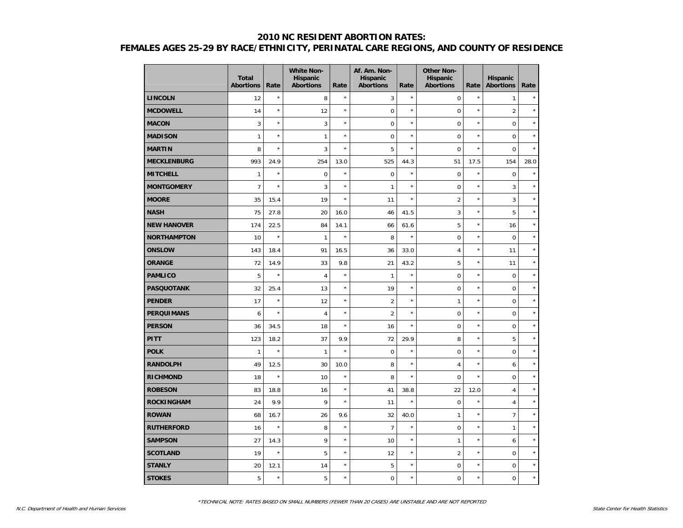## **2010 NC RESIDENT ABORTION RATES: FEMALES AGES 25-29 BY RACE/ETHNICITY, PERINATAL CARE REGIONS, AND COUNTY OF RESIDENCE**

|                    | <b>Total</b><br><b>Abortions</b> | Rate    | <b>White Non-</b><br>Hispanic<br><b>Abortions</b> | Rate       | Af. Am. Non-<br><b>Hispanic</b><br><b>Abortions</b> | Rate       | <b>Other Non-</b><br>Hispanic<br><b>Abortions</b> | Rate       | <b>Hispanic</b><br><b>Abortions</b> | Rate    |
|--------------------|----------------------------------|---------|---------------------------------------------------|------------|-----------------------------------------------------|------------|---------------------------------------------------|------------|-------------------------------------|---------|
| <b>LINCOLN</b>     | 12                               | $\star$ | 8                                                 | $\star$    | 3                                                   | $\star$    | $\mathbf 0$                                       | $\star$    | 1                                   | $\star$ |
| <b>MCDOWELL</b>    | 14                               | $\star$ | 12                                                | $\star$    | $\pmb{0}$                                           | $\star$    | $\mathbf 0$                                       | $\star$    | $\overline{2}$                      | $\star$ |
| <b>MACON</b>       | 3                                | $\star$ | 3                                                 | $\star$    | $\mathbf 0$                                         | $\star$    | $\mathbf 0$                                       | $\star$    | $\mathbf 0$                         | $\star$ |
| <b>MADISON</b>     | $\mathbf{1}$                     | $\star$ | $\mathbf{1}$                                      | $\star$    | $\mathbf 0$                                         | $\star$    | $\mathbf 0$                                       | $\star$    | $\mathbf 0$                         | $\star$ |
| <b>MARTIN</b>      | 8                                | $\star$ | 3                                                 | $\star$    | 5                                                   | $\star$    | $\mathbf 0$                                       | $\star$    | $\mathbf 0$                         | $\star$ |
| <b>MECKLENBURG</b> | 993                              | 24.9    | 254                                               | 13.0       | 525                                                 | 44.3       | 51                                                | 17.5       | 154                                 | 28.0    |
| <b>MITCHELL</b>    | $\mathbf{1}$                     | $\star$ | $\mathbf 0$                                       | $\star$    | $\mathbf 0$                                         | $\star$    | $\mathbf 0$                                       | $\star$    | $\mathbf 0$                         | $\star$ |
| <b>MONTGOMERY</b>  | $\overline{7}$                   | $\star$ | 3                                                 | $\star$    | $\mathbf{1}$                                        | $\star$    | $\mathbf 0$                                       | $\star$    | 3                                   | $\star$ |
| <b>MOORE</b>       | 35                               | 15.4    | 19                                                | $\star$    | 11                                                  | $\star$    | $\overline{c}$                                    | ×          | 3                                   | $\star$ |
| <b>NASH</b>        | 75                               | 27.8    | 20                                                | 16.0       | 46                                                  | 41.5       | 3                                                 | $\star$    | 5                                   | $\star$ |
| <b>NEW HANOVER</b> | 174                              | 22.5    | 84                                                | 14.1       | 66                                                  | 61.6       | 5                                                 | $\star$    | 16                                  | $\star$ |
| <b>NORTHAMPTON</b> | 10                               | $\star$ | $\mathbf{1}$                                      | $\star$    | 8                                                   | $\star$    | $\mathbf 0$                                       | $\star$    | $\mathbf 0$                         | $\star$ |
| <b>ONSLOW</b>      | 143                              | 18.4    | 91                                                | 16.5       | 36                                                  | 33.0       | 4                                                 | $\star$    | 11                                  | $\star$ |
| <b>ORANGE</b>      | 72                               | 14.9    | 33                                                | 9.8        | 21                                                  | 43.2       | 5                                                 | $\star$    | 11                                  | $\star$ |
| <b>PAMLICO</b>     | 5                                | $\star$ | $\overline{4}$                                    | $\star$    | $\mathbf{1}$                                        | $^{\star}$ | $\mathbf 0$                                       | $\star$    | $\mathbf 0$                         | $\star$ |
| <b>PASQUOTANK</b>  | 32                               | 25.4    | 13                                                | $\star$    | 19                                                  | $^{\star}$ | $\mathbf 0$                                       | $\star$    | $\mathbf 0$                         | $\star$ |
| <b>PENDER</b>      | 17                               | $\star$ | 12                                                | $\star$    | $\overline{2}$                                      | $^{\star}$ | $\mathbf{1}$                                      | $^{\star}$ | $\mathbf 0$                         | $\star$ |
| <b>PERQUIMANS</b>  | 6                                | $\star$ | $\overline{4}$                                    | $\star$    | $\overline{2}$                                      | $^{\star}$ | $\mathbf 0$                                       | $\star$    | $\mathbf 0$                         | $\star$ |
| <b>PERSON</b>      | 36                               | 34.5    | 18                                                | $\star$    | 16                                                  | $^{\star}$ | $\mathbf 0$                                       | $\star$    | $\mathsf 0$                         | $\star$ |
| <b>PITT</b>        | 123                              | 18.2    | 37                                                | 9.9        | 72                                                  | 29.9       | 8                                                 | $\star$    | 5                                   | $\star$ |
| <b>POLK</b>        | $\mathbf{1}$                     | $\star$ | $\mathbf{1}$                                      | $\star$    | $\mathbf 0$                                         | $\star$    | $\mathbf 0$                                       | $\star$    | $\mathbf 0$                         | $\star$ |
| <b>RANDOLPH</b>    | 49                               | 12.5    | 30                                                | 10.0       | 8                                                   | $\star$    | 4                                                 | $\star$    | 6                                   | $\star$ |
| <b>RICHMOND</b>    | 18                               | $\star$ | 10                                                | $\star$    | 8                                                   | $\star$    | $\mathbf 0$                                       | $\star$    | $\mathbf 0$                         | $\star$ |
| <b>ROBESON</b>     | 83                               | 18.8    | 16                                                | $^{\star}$ | 41                                                  | 38.8       | 22                                                | 12.0       | $\overline{4}$                      | $\star$ |
| <b>ROCKINGHAM</b>  | 24                               | 9.9     | 9                                                 | $\star$    | 11                                                  | $\star$    | $\mathbf 0$                                       | $\star$    | $\overline{4}$                      | $\star$ |
| <b>ROWAN</b>       | 68                               | 16.7    | 26                                                | 9.6        | 32                                                  | 40.0       | $\mathbf{1}$                                      | $\star$    | $\overline{7}$                      | $\star$ |
| <b>RUTHERFORD</b>  | 16                               | $\star$ | 8                                                 | $\star$    | $\overline{7}$                                      | $\star$    | $\mathbf 0$                                       | $\star$    | $\mathbf{1}$                        | $\star$ |
| <b>SAMPSON</b>     | 27                               | 14.3    | 9                                                 | $\star$    | 10                                                  | $\star$    | $\mathbf{1}$                                      | $\star$    | 6                                   | $\star$ |
| <b>SCOTLAND</b>    | 19                               | $\star$ | 5                                                 | $\star$    | 12                                                  | $\star$    | $\overline{2}$                                    | $\star$    | $\Omega$                            | $\star$ |
| <b>STANLY</b>      | 20                               | 12.1    | 14                                                | $\star$    | 5                                                   | $\star$    | $\pmb{0}$                                         | $\star$    | $\pmb{0}$                           | $\star$ |
| <b>STOKES</b>      | 5                                | $\star$ | 5                                                 | $\star$    | $\mathbf 0$                                         | $\star$    | $\overline{0}$                                    | $\star$    | $\mathbf 0$                         | $\star$ |